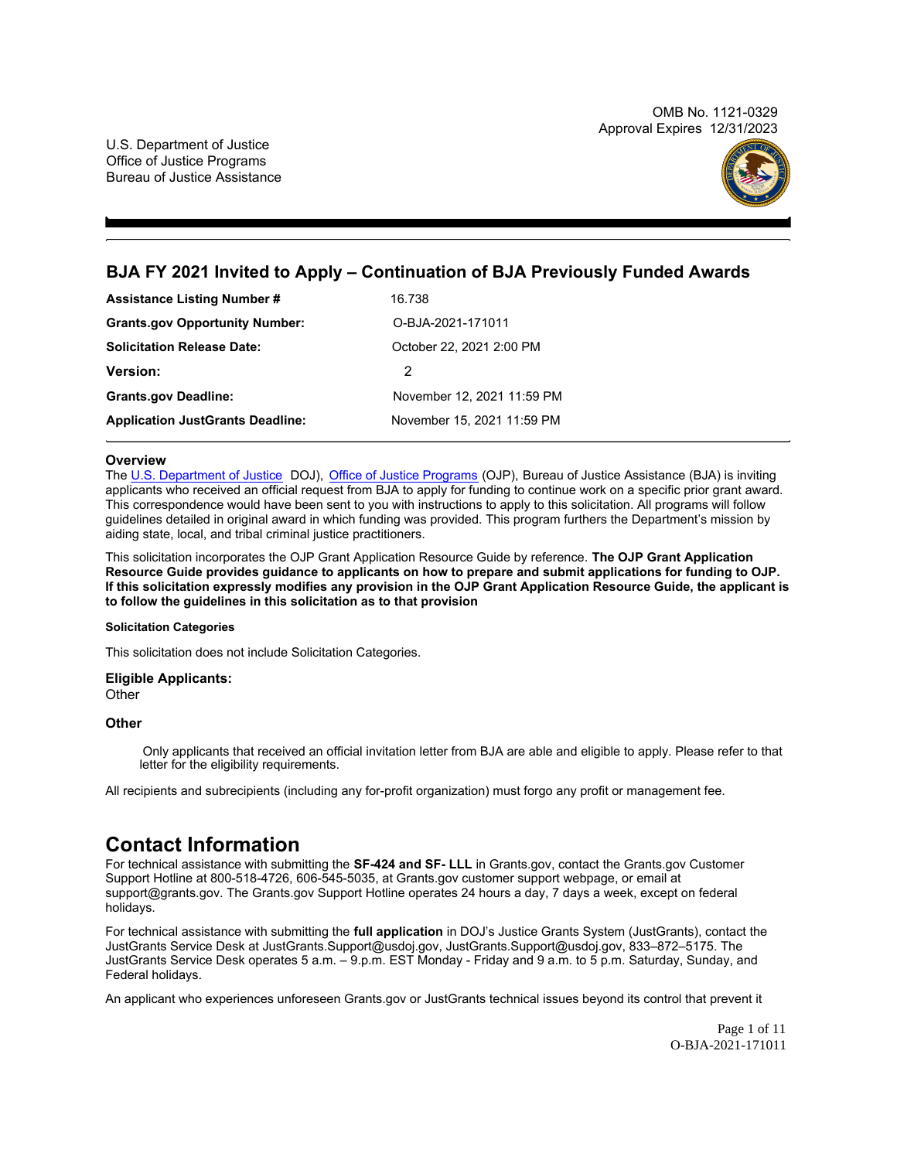OMB No. 1121-0329 Approval Expires 12/31/2023



# <span id="page-0-0"></span>**BJA FY 2021 Invited to Apply – Continuation of BJA Previously Funded Awards**

| <b>Assistance Listing Number #</b>      | 16.738                     |
|-----------------------------------------|----------------------------|
| <b>Grants.gov Opportunity Number:</b>   | O-BJA-2021-171011          |
| <b>Solicitation Release Date:</b>       | October 22, 2021 2:00 PM   |
| <b>Version:</b>                         | 2                          |
| <b>Grants.gov Deadline:</b>             | November 12, 2021 11:59 PM |
| <b>Application JustGrants Deadline:</b> | November 15, 2021 11:59 PM |

#### **Overview**

The [U.S. Department of Justice](https://www.usdoj.gov/) DOJ), [Office of Justice Programs](https://www.ojp.usdoj.gov/) (OJP), Bureau of Justice Assistance (BJA) is inviting applicants who received an official request from BJA to apply for funding to continue work on a specific prior grant award. This correspondence would have been sent to you with instructions to apply to this solicitation. All programs will follow guidelines detailed in original award in which funding was provided. This program furthers the Department's mission by aiding state, local, and tribal criminal justice practitioners.

This solicitation incorporates the OJP Grant Application Resource Guide by reference. **The OJP Grant Application Resource Guide provides guidance to applicants on how to prepare and submit applications for funding to OJP. If this solicitation expressly modifies any provision in the OJP Grant Application Resource Guide, the applicant is to follow the guidelines in this solicitation as to that provision**

#### **Solicitation Categories**

This solicitation does not include Solicitation Categories.

### **Eligible Applicants:**

**Other** 

#### **Other**

Only applicants that received an official invitation letter from BJA are able and eligible to apply. Please refer to that letter for the eligibility requirements.

All recipients and subrecipients (including any for-profit organization) must forgo any profit or management fee.

# **Contact Information**

For technical assistance with submitting the **SF-424 and SF- LLL** in [Grants.gov](https://Grants.gov), contact the [Grants.gov](https://Grants.gov) Customer Support Hotline at 800-518-4726, 606-545-5035, at [Grants.gov](https://Grants.gov) customer support webpage, or email at [support@grants.gov](mailto:support@grants.gov). The [Grants.gov](https://Grants.gov) Support Hotline operates 24 hours a day, 7 days a week, except on federal holidays.

For technical assistance with submitting the **full application** in DOJ's Justice Grants System (JustGrants), contact the JustGrants Service Desk at [JustGrants.Support@usdoj.gov, JustGrants.Support@usdoj.gov,](mailto:JustGrants.Support@usdoj.gov) 833–872–5175. The JustGrants Service Desk operates 5 a.m. – 9.p.m. EST Monday - Friday and 9 a.m. to 5 p.m. Saturday, Sunday, and Federal holidays.

An applicant who experiences unforeseen [Grants.gov](https://Grants.gov) or JustGrants technical issues beyond its control that prevent it

Page 1 of 11 O-BJA-2021-171011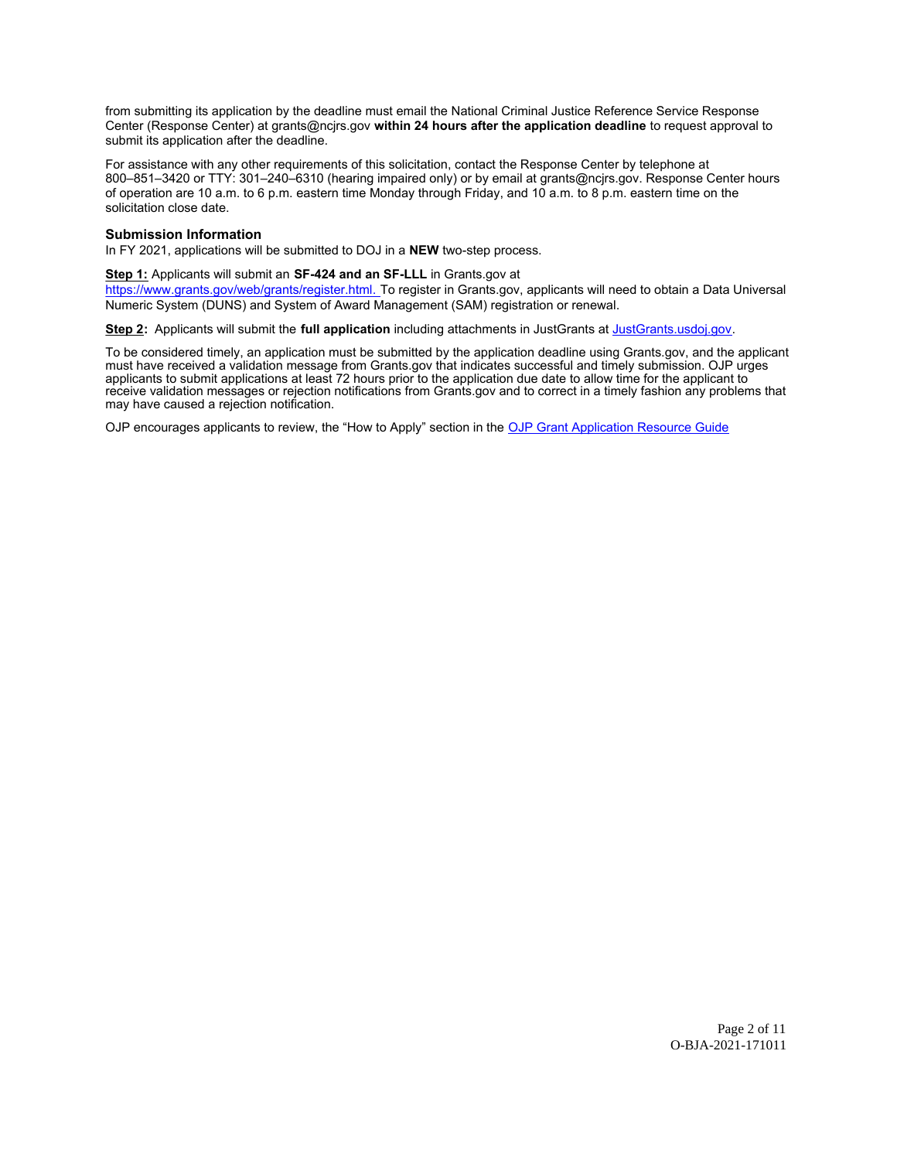from submitting its application by the deadline must email the National Criminal Justice Reference Service Response Center (Response Center) at [grants@ncjrs.gov](mailto:grants@ncjrs.gov) **within 24 hours after the application deadline** to request approval to submit its application after the deadline.

For assistance with any other requirements of this solicitation, contact the Response Center by telephone at 800–851–3420 or TTY: 301–240–6310 (hearing impaired only) or by email at [grants@ncjrs.gov](mailto:grants@ncjrs.gov). Response Center hours of operation are 10 a.m. to 6 p.m. eastern time Monday through Friday, and 10 a.m. to 8 p.m. eastern time on the solicitation close date.

#### **Submission Information**

In FY 2021, applications will be submitted to DOJ in a **NEW** two-step process.

### **Step 1:** Applicants will submit an **SF-424 and an SF-LLL** in [Grants.gov](https://Grants.gov) at

[https://www.grants.gov/web/grants/register.html.](https://www.grants.gov/web/grants/register.html) To register in [Grants.gov,](https://Grants.gov) applicants will need to obtain a Data Universal Numeric System (DUNS) and System of Award Management (SAM) registration or renewal.

**Step 2:** Applicants will submit the **full application** including attachments in JustGrants at [JustGrants.usdoj.gov.](#)

To be considered timely, an application must be submitted by the application deadline using [Grants.gov,](https://Grants.gov) and the applicant must have received a validation message from [Grants.gov](https://Grants.gov) that indicates successful and timely submission. OJP urges applicants to submit applications at least 72 hours prior to the application due date to allow time for the applicant to receive validation messages or rejection notifications from [Grants.gov](https://Grants.gov) and to correct in a timely fashion any problems that may have caused a rejection notification.

OJP encourages applicants to review, the "How to Apply" section in the [OJP Grant Application Resource Guide](https://www.ojp.gov/funding/Apply/Resources/Grant-App-Resource-Guide.htm)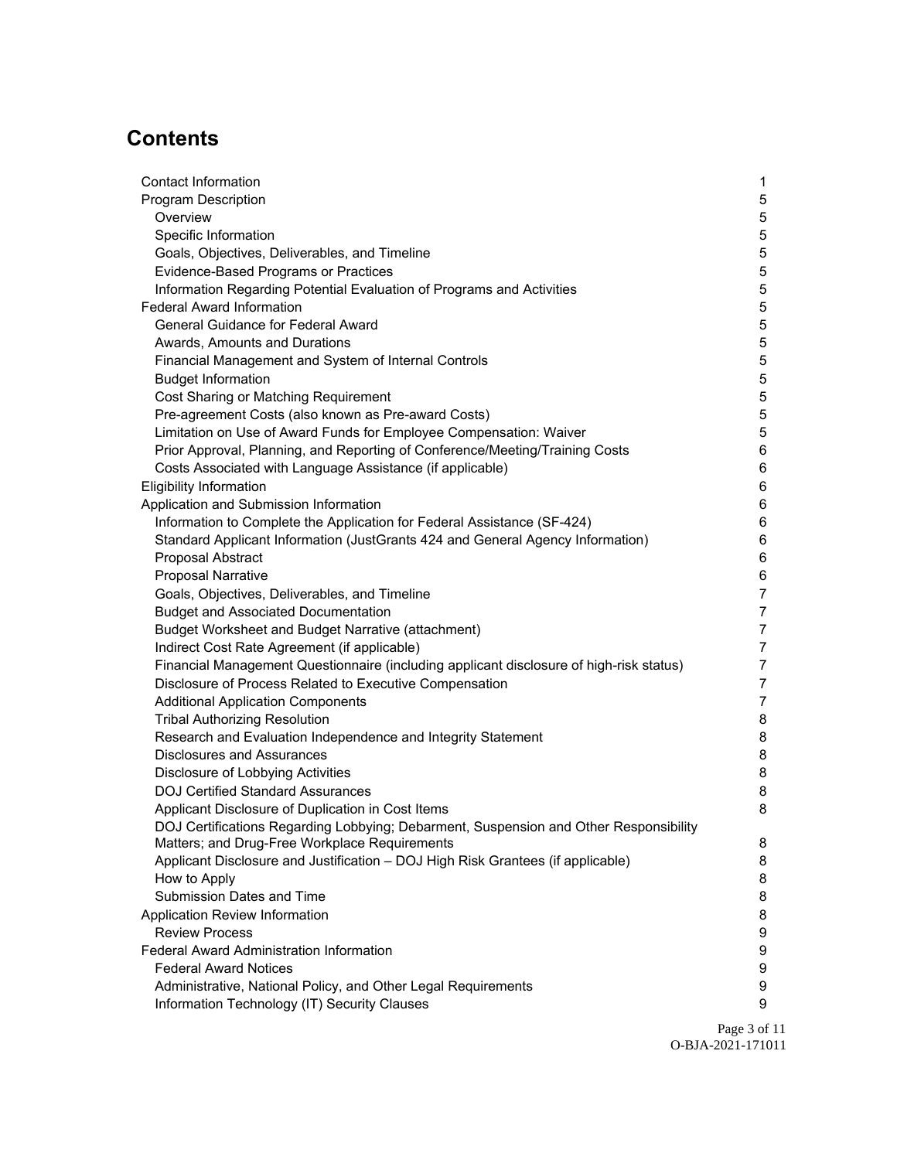# **Contents**

| <b>Contact Information</b>                                                              | $\mathbf 1$    |
|-----------------------------------------------------------------------------------------|----------------|
| <b>Program Description</b>                                                              | 5              |
| Overview                                                                                | 5              |
| Specific Information                                                                    | 5              |
| Goals, Objectives, Deliverables, and Timeline                                           | 5              |
| Evidence-Based Programs or Practices                                                    | $\,$ 5 $\,$    |
| Information Regarding Potential Evaluation of Programs and Activities                   | $\sqrt{5}$     |
| <b>Federal Award Information</b>                                                        | $\,$ 5 $\,$    |
| <b>General Guidance for Federal Award</b>                                               | $\,$ 5 $\,$    |
| Awards, Amounts and Durations                                                           | $\,$ 5 $\,$    |
| Financial Management and System of Internal Controls                                    | $\,$ 5 $\,$    |
| <b>Budget Information</b>                                                               | $\mathbf 5$    |
| Cost Sharing or Matching Requirement                                                    | $\,$ 5 $\,$    |
| Pre-agreement Costs (also known as Pre-award Costs)                                     | $\,$ 5 $\,$    |
| Limitation on Use of Award Funds for Employee Compensation: Waiver                      | $\,$ 5 $\,$    |
| Prior Approval, Planning, and Reporting of Conference/Meeting/Training Costs            | 6              |
| Costs Associated with Language Assistance (if applicable)                               | 6              |
| <b>Eligibility Information</b>                                                          | 6              |
| Application and Submission Information                                                  | 6              |
| Information to Complete the Application for Federal Assistance (SF-424)                 | 6              |
| Standard Applicant Information (JustGrants 424 and General Agency Information)          | 6              |
| Proposal Abstract                                                                       | 6              |
| <b>Proposal Narrative</b>                                                               | 6              |
| Goals, Objectives, Deliverables, and Timeline                                           | $\overline{7}$ |
| <b>Budget and Associated Documentation</b>                                              | $\overline{7}$ |
| Budget Worksheet and Budget Narrative (attachment)                                      | $\overline{7}$ |
| Indirect Cost Rate Agreement (if applicable)                                            | $\overline{7}$ |
| Financial Management Questionnaire (including applicant disclosure of high-risk status) | $\overline{7}$ |
| Disclosure of Process Related to Executive Compensation                                 | $\overline{7}$ |
| <b>Additional Application Components</b>                                                | $\overline{7}$ |
| <b>Tribal Authorizing Resolution</b>                                                    | 8              |
| Research and Evaluation Independence and Integrity Statement                            | 8              |
| <b>Disclosures and Assurances</b>                                                       | 8              |
| Disclosure of Lobbying Activities                                                       | 8              |
| <b>DOJ Certified Standard Assurances</b>                                                | 8              |
| Applicant Disclosure of Duplication in Cost Items                                       | 8              |
| DOJ Certifications Regarding Lobbying; Debarment, Suspension and Other Responsibility   |                |
| Matters; and Drug-Free Workplace Requirements                                           | 8              |
| Applicant Disclosure and Justification - DOJ High Risk Grantees (if applicable)         | 8              |
| How to Apply                                                                            | 8              |
| Submission Dates and Time                                                               | 8              |
| Application Review Information                                                          | 8              |
| <b>Review Process</b>                                                                   | 9              |
| <b>Federal Award Administration Information</b>                                         | 9              |
| <b>Federal Award Notices</b>                                                            | 9              |
| Administrative, National Policy, and Other Legal Requirements                           | 9              |
| Information Technology (IT) Security Clauses                                            | 9              |

Page 3 of 11 O-BJA-2021-171011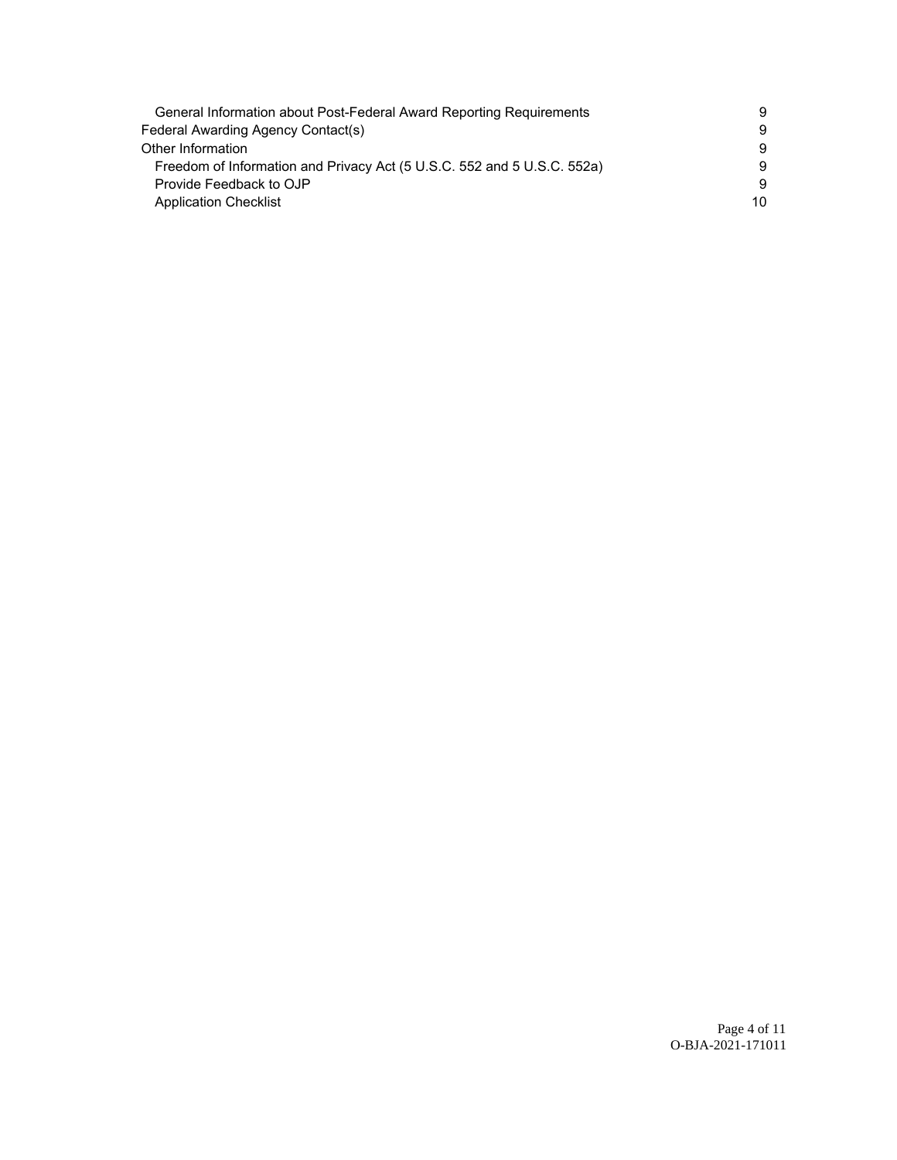| General Information about Post-Federal Award Reporting Requirements     | 9  |
|-------------------------------------------------------------------------|----|
| Federal Awarding Agency Contact(s)                                      | 9  |
| Other Information                                                       | 9  |
| Freedom of Information and Privacy Act (5 U.S.C. 552 and 5 U.S.C. 552a) | 9  |
| Provide Feedback to OJP                                                 | 9  |
| <b>Application Checklist</b>                                            | 10 |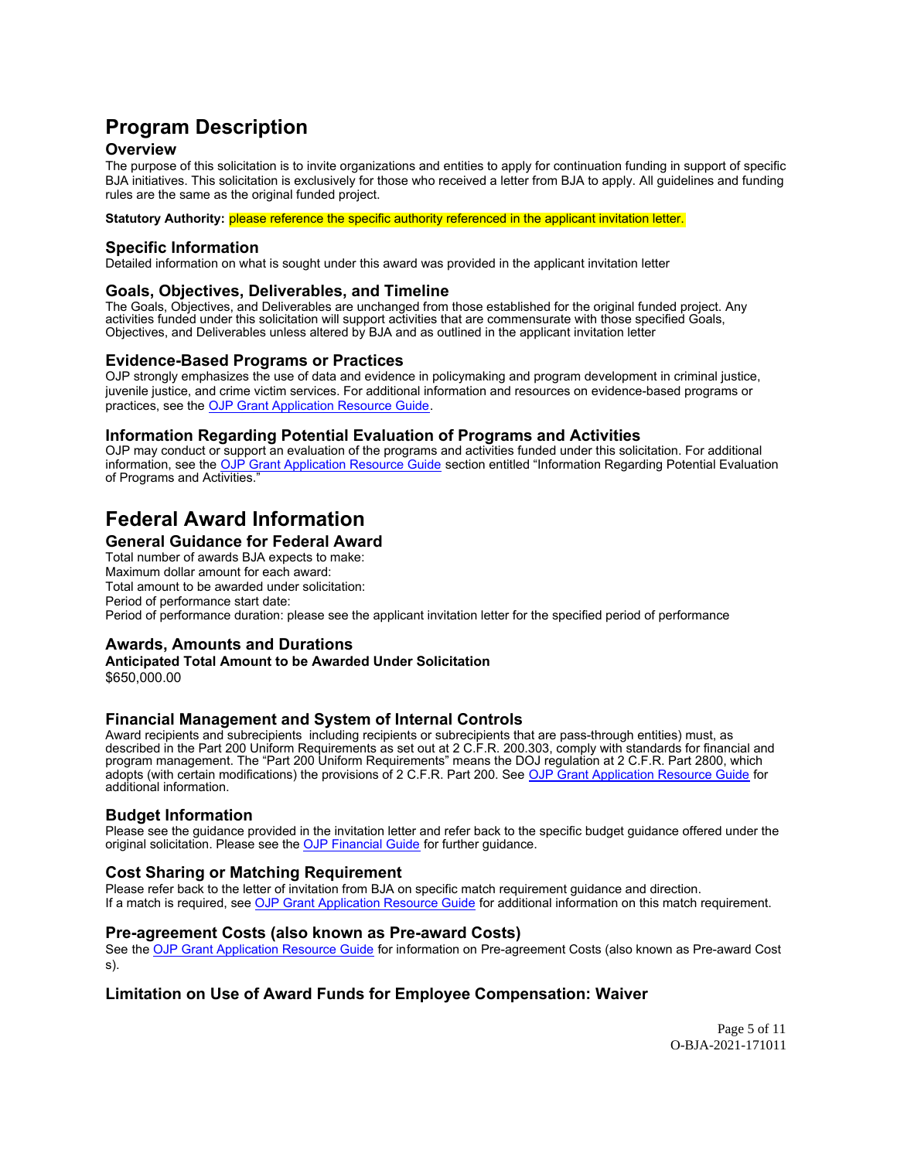# <span id="page-4-0"></span>**Program Description**

# **Overview**

The purpose of this solicitation is to invite organizations and entities to apply for continuation funding in support of specific BJA initiatives. This solicitation is exclusively for those who received a letter from BJA to apply. All guidelines and funding rules are the same as the original funded project.

**Statutory Authority:** please reference the specific authority referenced in the applicant invitation letter.

## **Specific Information**

Detailed information on what is sought under this award was provided in the applicant invitation letter

## **Goals, Objectives, Deliverables, and Timeline**

The Goals, Objectives, and Deliverables are unchanged from those established for the original funded project. Any activities funded under this solicitation will support activities that are commensurate with those specified Goals, Objectives, and Deliverables unless altered by BJA and as outlined in the applicant invitation letter

## **Evidence-Based Programs or Practices**

OJP strongly emphasizes the use of data and evidence in policymaking and program development in criminal justice, juvenile justice, and crime victim services. For additional information and resources on evidence-based programs or practices, see the [OJP Grant Application Resource Guide.](https://www.ojp.gov/funding/Apply/Resources/Grant-App-Resource-Guide.htm)

## **Information Regarding Potential Evaluation of Programs and Activities**

OJP may conduct or support an evaluation of the programs and activities funded under this solicitation. For additional information, see the [OJP Grant Application Resource Guide](https://www.ojp.gov/funding/apply/ojp-grant-application-resource-guide#potential-evaluation) section entitled "Information Regarding Potential Evaluation of Programs and Activities."

# **Federal Award Information**

## **General Guidance for Federal Award**

Total number of awards BJA expects to make: Maximum dollar amount for each award: Total amount to be awarded under solicitation: Period of performance start date: Period of performance duration: please see the applicant invitation letter for the specified period of performance

## **Awards, Amounts and Durations**

**Anticipated Total Amount to be Awarded Under Solicitation** [\\$650,000.00](https://650,000.00)

## **Financial Management and System of Internal Controls**

Award recipients and subrecipients including recipients or subrecipients that are pass-through entities) must, as described in the Part 200 Uniform Requirements as set out at 2 C.F.R. 200.303, comply with standards for financial and program management. The "Part 200 Uniform Requirements" means the DOJ regulation at 2 C.F.R. Part 2800, which adopts (with certain modifications) the provisions of 2 C.F.R. Part 200. See [OJP Grant Application Resource Guide](https://www.ojp.gov/funding/apply/ojp-grant-application-resource-guide#fm-internal-controls) for additional information.

## **Budget Information**

Please see the guidance provided in the invitation letter and refer back to the specific budget guidance offered under the original solicitation. Please see the [OJP Financial Guide](https://www.ojp.gov/funding/financialguideojp/overview) for further guidance.

## **Cost Sharing or Matching Requirement**

Please refer back to the letter of invitation from BJA on specific match requirement guidance and direction. If a match is required, see [OJP Grant Application Resource Guide](https://www.ojp.gov/funding/Apply/Resources/Grant-App-Resource-Guide.htm) for additional information on this match requirement.

## **Pre-agreement Costs (also known as Pre-award Costs)**

See the [OJP Grant Application Resource Guide](https://www.ojp.gov/funding/apply/ojp-grant-application-resource-guide#pre-agreement-costs) for information on Pre-agreement Costs (also known as Pre-award Cost s).

## **Limitation on Use of Award Funds for Employee Compensation: Waiver**

Page 5 of 11 O-BJA-2021-171011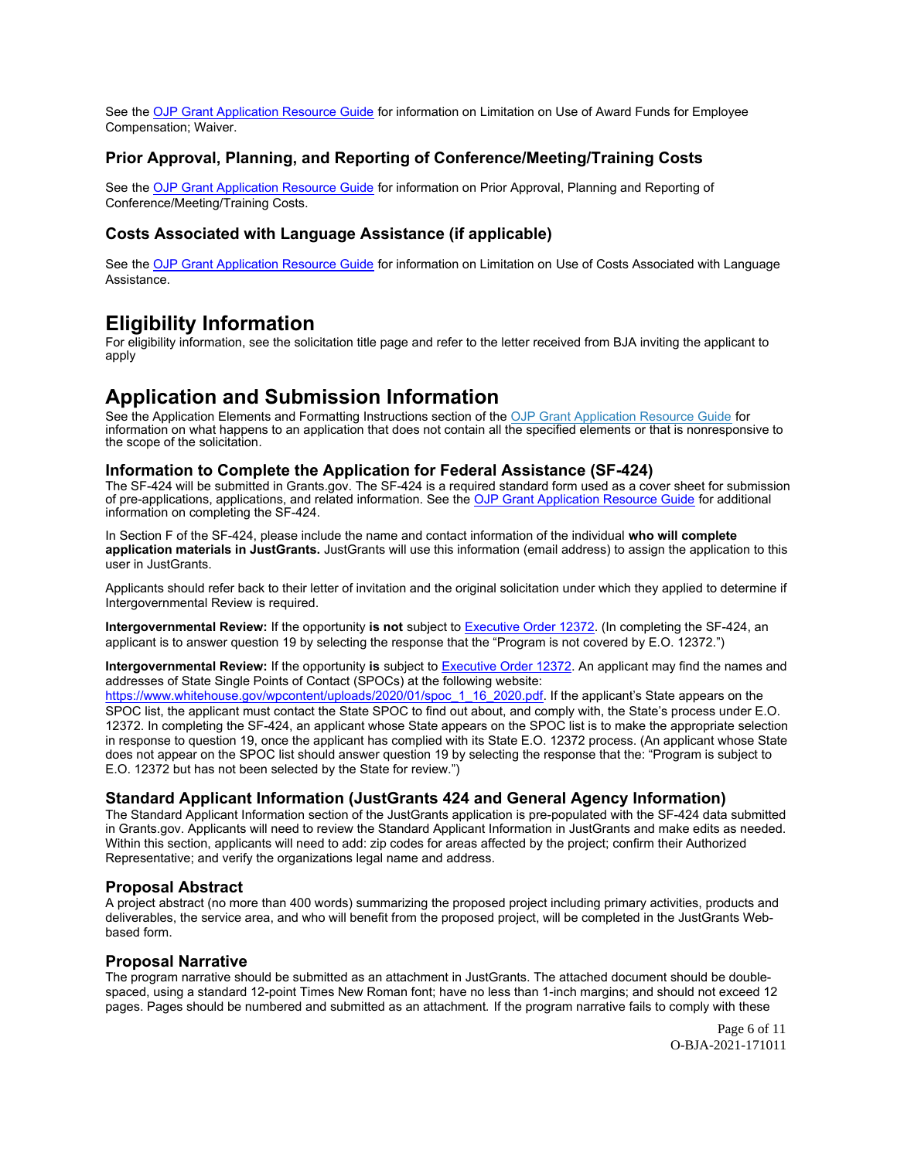<span id="page-5-0"></span>See the [OJP Grant Application Resource Guide](https://www.ojp.gov/funding/apply/ojp-grant-application-resource-guide#limitation-use-award) for information on Limitation on Use of Award Funds for Employee Compensation; Waiver.

# **Prior Approval, Planning, and Reporting of Conference/Meeting/Training Costs**

See the [OJP Grant Application Resource Guide](https://www.ojp.gov/funding/apply/ojp-grant-application-resource-guide#prior-approval) for information on Prior Approval, Planning and Reporting of Conference/Meeting/Training Costs.

## **Costs Associated with Language Assistance (if applicable)**

See the [OJP Grant Application Resource Guide](https://www.ojp.gov/funding/apply/ojp-grant-application-resource-guide#costs-associated) for information on Limitation on Use of Costs Associated with Language Assistance.

# **Eligibility Information**

For eligibility information, see the solicitation title page and refer to the letter received from BJA inviting the applicant to apply

# **Application and Submission Information**

See the Application Elements and Formatting Instructions section of the [OJP Grant Application Resource Guide](https://ojp.gov/funding/Apply/Resources/Grant-App-Resource-Guide.htm) for information on what happens to an application that does not contain all the specified elements or that is nonresponsive to the scope of the solicitation.

## **Information to Complete the Application for Federal Assistance (SF-424)**

The SF-424 will be submitted in [Grants.gov.](https://Grants.gov) The SF-424 is a required standard form used as a cover sheet for submission of pre-applications, applications, and related information. See the [OJP Grant Application Resource Guide](https://www.ojp.gov/funding/Apply/Resources/Grant-App-Resource-Guide.htm) for additional information on completing the SF-424.

In Section F of the SF-424, please include the name and contact information of the individual **who will complete application materials in JustGrants.** JustGrants will use this information (email address) to assign the application to this user in JustGrants.

Applicants should refer back to their letter of invitation and the original solicitation under which they applied to determine if Intergovernmental Review is required.

**Intergovernmental Review:** If the opportunity **is not** subject to [Executive Order 12372.](https://www.archives.gov/federal-register/codification/executive-order/12372.html) (In completing the SF-424, an applicant is to answer question 19 by selecting the response that the "Program is not covered by E.O. 12372.")

**Intergovernmental Review:** If the opportunity **is** subject to [Executive Order 12372.](https://www.archives.gov/federal-register/codification/executive-order/12372.html) An applicant may find the names and addresses of State Single Points of Contact (SPOCs) at the following website:

[https://www.whitehouse.gov/wpcontent/uploads/2020/01/spoc\\_1\\_16\\_2020.pdf.](https://www.whitehouse.gov/wpcontent/uploads/2020/01/spoc_1_16_2020.pdf) If the applicant's State appears on the SPOC list, the applicant must contact the State SPOC to find out about, and comply with, the State's process under E.O. 12372. In completing the SF-424, an applicant whose State appears on the SPOC list is to make the appropriate selection in response to question 19, once the applicant has complied with its State E.O. 12372 process. (An applicant whose State does not appear on the SPOC list should answer question 19 by selecting the response that the: "Program is subject to E.O. 12372 but has not been selected by the State for review.")

## **Standard Applicant Information (JustGrants 424 and General Agency Information)**

The Standard Applicant Information section of the JustGrants application is pre-populated with the SF-424 data submitted in [Grants.gov](https://Grants.gov). Applicants will need to review the Standard Applicant Information in JustGrants and make edits as needed. Within this section, applicants will need to add: zip codes for areas affected by the project; confirm their Authorized Representative; and verify the organizations legal name and address.

## **Proposal Abstract**

A project abstract (no more than 400 words) summarizing the proposed project including primary activities, products and deliverables, the service area, and who will benefit from the proposed project, will be completed in the JustGrants Webbased form.

## **Proposal Narrative**

The program narrative should be submitted as an attachment in JustGrants. The attached document should be doublespaced, using a standard 12-point Times New Roman font; have no less than 1-inch margins; and should not exceed 12 pages. Pages should be numbered and submitted as an attachment. If the program narrative fails to comply with these

> Page 6 of 11 O-BJA-2021-171011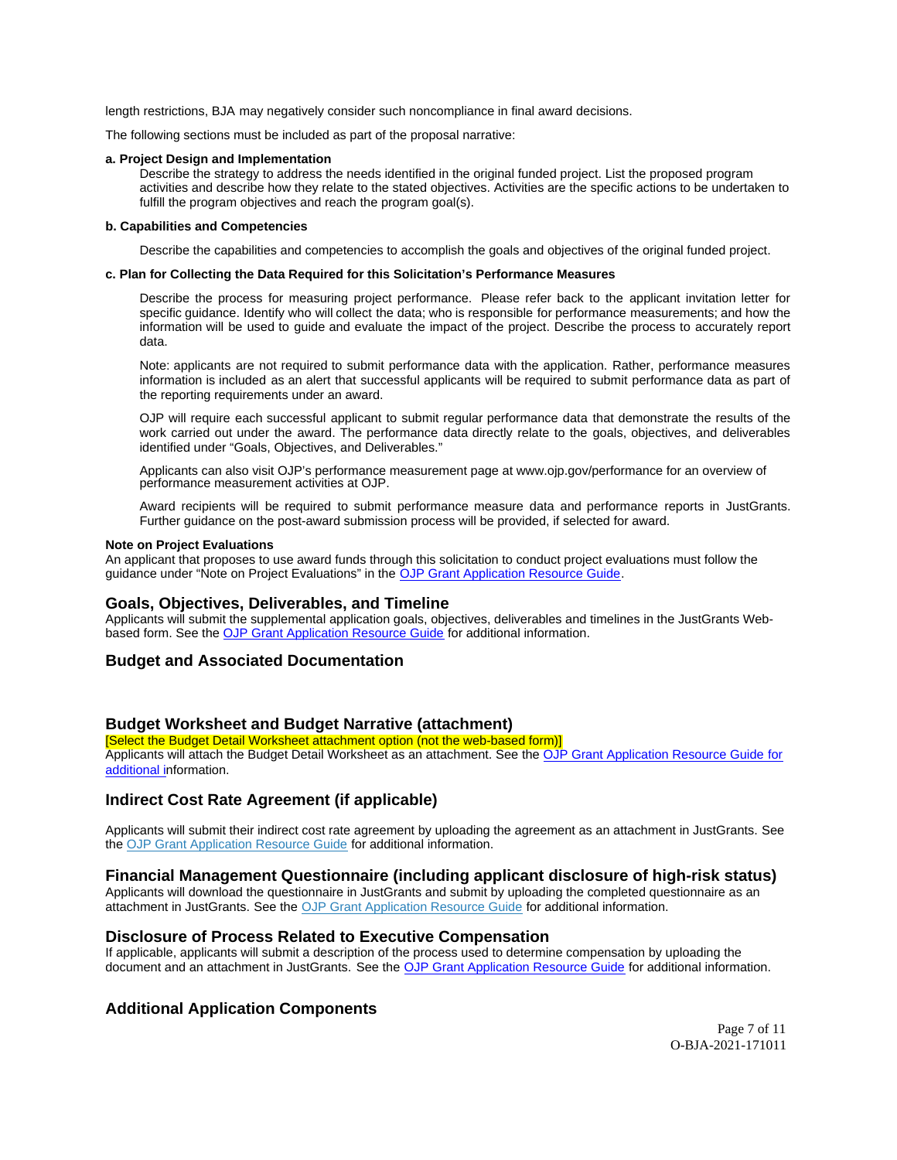<span id="page-6-0"></span>length restrictions, BJA may negatively consider such noncompliance in final award decisions.

The following sections must be included as part of the proposal narrative:

#### **a. Project Design and Implementation**

Describe the strategy to address the needs identified in the original funded project. List the proposed program activities and describe how they relate to the stated objectives. Activities are the specific actions to be undertaken to fulfill the program objectives and reach the program goal(s).

#### **b. Capabilities and Competencies**

Describe the capabilities and competencies to accomplish the goals and objectives of the original funded project.

#### **c. Plan for Collecting the Data Required for this Solicitation's Performance Measures**

Describe the process for measuring project performance. Please refer back to the applicant invitation letter for specific guidance. Identify who will collect the data; who is responsible for performance measurements; and how the information will be used to guide and evaluate the impact of the project. Describe the process to accurately report data.

Note: applicants are not required to submit performance data with the application. Rather, performance measures information is included as an alert that successful applicants will be required to submit performance data as part of the reporting requirements under an award.

OJP will require each successful applicant to submit regular performance data that demonstrate the results of the work carried out under the award. The performance data directly relate to the goals, objectives, and deliverables identified under "Goals, Objectives, and Deliverables."

Applicants can also visit OJP's performance measurement page at <www.ojp.gov/performance>for an overview of performance measurement activities at OJP.

Award recipients will be required to submit performance measure data and performance reports in JustGrants. Further guidance on the post-award submission process will be provided, if selected for award.

#### **Note on Project Evaluations**

An applicant that proposes to use award funds through this solicitation to conduct project evaluations must follow the guidance under "Note on Project Evaluations" in the [OJP Grant Application Resource Guide.](https://www.ojp.gov/funding/Apply/Resources/Grant-App-Resource-Guide.htm)

#### **Goals, Objectives, Deliverables, and Timeline**

Applicants will submit the supplemental application goals, objectives, deliverables and timelines in the JustGrants Webbased form. See the [OJP Grant Application Resource Guide](https://www.ojp.gov/funding/apply/ojp-grant-application-resource-guide) for additional information.

## **Budget and Associated Documentation**

#### **Budget Worksheet and Budget Narrative (attachment)**

[Select the Budget Detail Worksheet attachment option (not the web-based form)] Applicants will attach the Budget Detail Worksheet as an attachment. See the [OJP Grant Application Resource Guide](https://ojp.gov/funding/Apply/Resources/Grant-App-Resource-Guide.htm) for additional information.

#### **Indirect Cost Rate Agreement (if applicable)**

Applicants will submit their indirect cost rate agreement by uploading the agreement as an attachment in JustGrants. See the [OJP Grant Application Resource Guide](https://www.ojp.gov/funding/apply/ojp-grant-application-resource-guide#indirect-cost) for additional information.

### **Financial Management Questionnaire (including applicant disclosure of high-risk status)**

Applicants will download the questionnaire in JustGrants and submit by uploading the completed questionnaire as an attachment in JustGrants. See the [OJP Grant Application Resource Guide](https://www.ojp.gov/funding/apply/ojp-grant-application-resource-guide#fm-internal-controls-questionnaire) for additional information.

### **Disclosure of Process Related to Executive Compensation**

If applicable, applicants will submit a description of the process used to determine compensation by uploading the document and an attachment in JustGrants. See the [OJP Grant Application Resource Guide](https://www.ojp.gov/funding/Apply/Resources/Grant-App-Resource-Guide.htm) for additional information.

### **Additional Application Components**

Page 7 of 11 O-BJA-2021-171011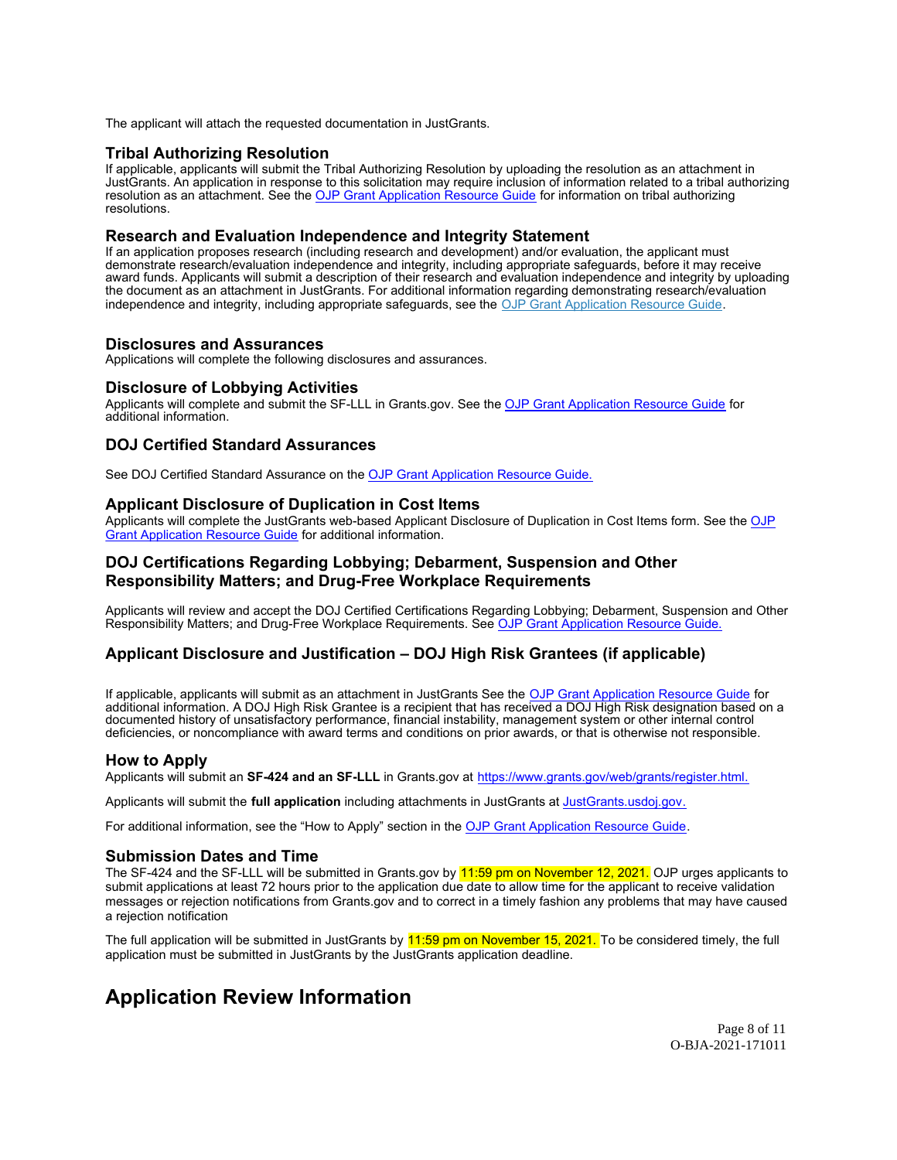<span id="page-7-0"></span>The applicant will attach the requested documentation in JustGrants.

## **Tribal Authorizing Resolution**

If applicable, applicants will submit the Tribal Authorizing Resolution by uploading the resolution as an attachment in JustGrants. An application in response to this solicitation may require inclusion of information related to a tribal authorizing resolution as an attachment. See the [OJP Grant Application Resource Guide](https://www.ojp.gov/funding/apply/ojp-grant-application-resource-guide) for information on tribal authorizing resolutions.

### **Research and Evaluation Independence and Integrity Statement**

If an application proposes research (including research and development) and/or evaluation, the applicant must demonstrate research/evaluation independence and integrity, including appropriate safeguards, before it may receive award funds. Applicants will submit a description of their research and evaluation independence and integrity by uploading the document as an attachment in JustGrants. For additional information regarding demonstrating research/evaluation independence and integrity, including appropriate safeguards, see the [OJP Grant Application Resource Guide.](https://www.ojp.gov/funding/apply/ojp-grant-application-resource-guide#research-evaluation)

### **Disclosures and Assurances**

Applications will complete the following disclosures and assurances.

#### **Disclosure of Lobbying Activities**

Applicants will complete and submit the SF-LLL in [Grants.gov.](https://Grants.gov) See the [OJP Grant Application Resource Guide](https://www.ojp.gov/funding/apply/ojp-grant-application-resource-guide#disclosure-lobby) for additional information.

## **DOJ Certified Standard Assurances**

See DOJ Certified Standard Assurance on the [OJP Grant Application Resource Guide.](https://www.ojp.gov/funding/apply/ojp-grant-application-resource-guide#administrative)

### **Applicant Disclosure of Duplication in Cost Items**

Applicants will complete the JustGrants web-based Applicant Disclosure of Duplication in Cost Items form. See the [OJP](https://www.ojp.gov/funding/apply/ojp-grant-application-resource-guide#applicant-disclosure-pending-applications) [Grant Application Resource Guide](https://www.ojp.gov/funding/apply/ojp-grant-application-resource-guide#applicant-disclosure-pending-applications) for additional information.

## **DOJ Certifications Regarding Lobbying; Debarment, Suspension and Other Responsibility Matters; and Drug-Free Workplace Requirements**

Applicants will review and accept the DOJ Certified Certifications Regarding Lobbying; Debarment, Suspension and Other Responsibility Matters; and Drug-Free Workplace Requirements. See OJP Grant Application Resource Guide.

## **Applicant Disclosure and Justification – DOJ High Risk Grantees (if applicable)**

If applicable, applicants will submit as an attachment in JustGrants See the OJP Grant Application Resource Guide for additional information. A DOJ High Risk Grantee is a recipient that has received a DOJ High Risk designation based on a documented history of unsatisfactory performance, financial instability, management system or other internal control deficiencies, or noncompliance with award terms and conditions on prior awards, or that is otherwise not responsible.

### **How to Apply**

Applicants will submit an **SF-424 and an SF-LLL** in [Grants.gov](https://Grants.gov) at <https://www.grants.gov/web/grants/register.html>.

Applicants will submit the **full application** including attachments in JustGrants at [JustGrants.usdoj.gov.](https://JustGrants.usdoj.gov)

For additional information, see the "How to Apply" section in the OJP Grant Application Resource Guide.

### **Submission Dates and Time**

The SF-424 and the SF-LLL will be submitted in [Grants.gov](https://Grants.gov) by 11:59 pm on November 12, 2021. OJP urges applicants to submit applications at least 72 hours prior to the application due date to allow time for the applicant to receive validation messages or rejection notifications from [Grants.gov](https://Grants.gov) and to correct in a timely fashion any problems that may have caused a rejection notification

The full application will be submitted in JustGrants by 11:59 pm on November 15, 2021. To be considered timely, the full application must be submitted in JustGrants by the JustGrants application deadline.

# **Application Review Information**

Page 8 of 11 O-BJA-2021-171011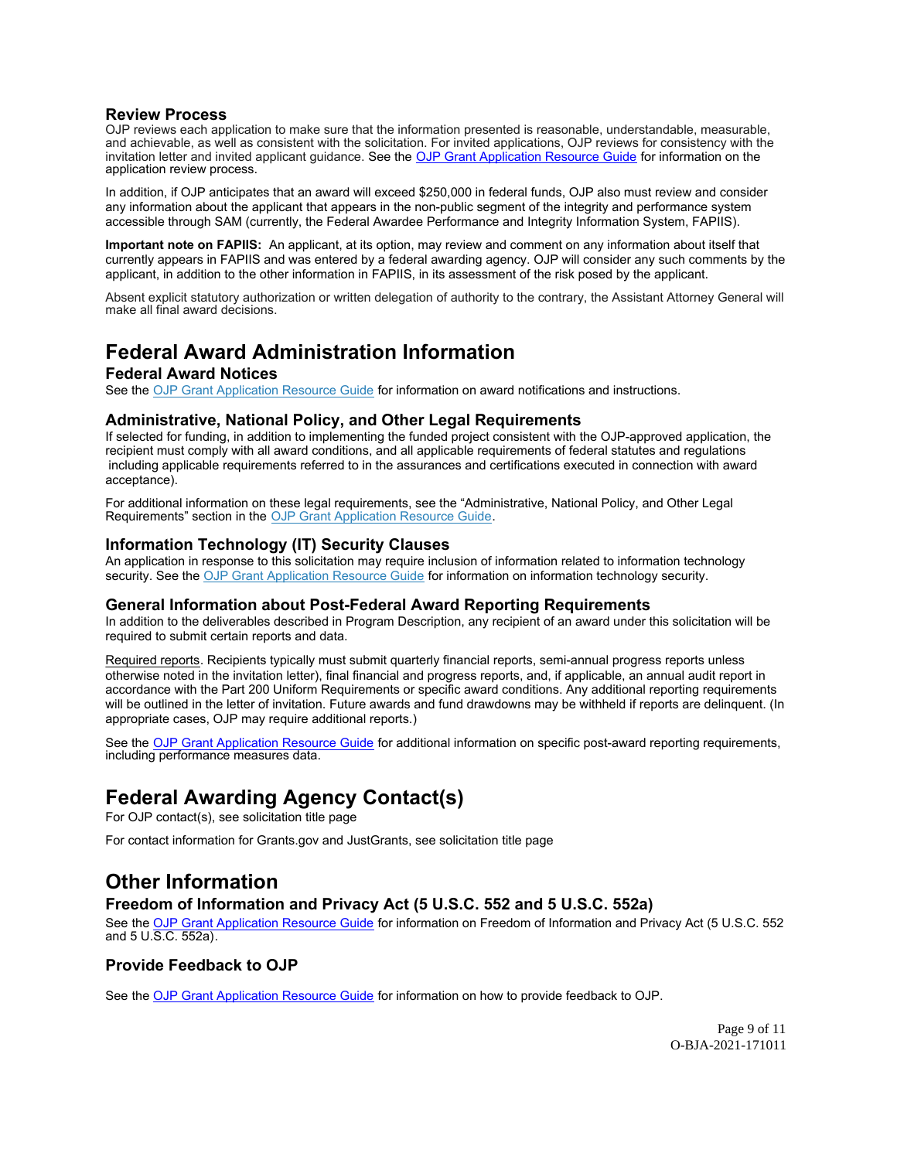## <span id="page-8-0"></span>**Review Process**

OJP reviews each application to make sure that the information presented is reasonable, understandable, measurable, and achievable, as well as consistent with the solicitation. For invited applications, OJP reviews for consistency with the invitation letter and invited applicant guidance. See the [OJP Grant Application Resource Guide](https://www.ojp.gov/funding/Apply/Resources/Grant-App-Resource-Guide.htm) for information on the application review process.

In addition, if OJP anticipates that an award will exceed \$250,000 in federal funds, OJP also must review and consider any information about the applicant that appears in the non-public segment of the integrity and performance system accessible through SAM (currently, the Federal Awardee Performance and Integrity Information System, FAPIIS).

**Important note on FAPIIS:** An applicant, at its option, may review and comment on any information about itself that currently appears in FAPIIS and was entered by a federal awarding agency. OJP will consider any such comments by the applicant, in addition to the other information in FAPIIS, in its assessment of the risk posed by the applicant.

Absent explicit statutory authorization or written delegation of authority to the contrary, the Assistant Attorney General will make all final award decisions.

# **Federal Award Administration Information**

## **Federal Award Notices**

See the [OJP Grant Application Resource Guide](https://www.ojp.gov/funding/apply/ojp-grant-application-resource-guide#federal-award-notices) for information on award notifications and instructions.

## **Administrative, National Policy, and Other Legal Requirements**

If selected for funding, in addition to implementing the funded project consistent with the OJP-approved application, the recipient must comply with all award conditions, and all applicable requirements of federal statutes and regulations including applicable requirements referred to in the assurances and certifications executed in connection with award acceptance).

For additional information on these legal requirements, see the "Administrative, National Policy, and Other Legal Requirements" section in the [OJP Grant Application Resource Guide.](https://www.ojp.gov/funding/apply/ojp-grant-application-resource-guide#administrative)

## **Information Technology (IT) Security Clauses**

An application in response to this solicitation may require inclusion of information related to information technology security. See the [OJP Grant Application Resource Guide](https://www.ojp.gov/funding/apply/ojp-grant-application-resource-guide#information-technology) for information on information technology security.

### **General Information about Post-Federal Award Reporting Requirements**

In addition to the deliverables described in Program Description, any recipient of an award under this solicitation will be required to submit certain reports and data.

Required reports. Recipients typically must submit quarterly financial reports, semi-annual progress reports unless otherwise noted in the invitation letter), final financial and progress reports, and, if applicable, an annual audit report in accordance with the Part 200 Uniform Requirements or specific award conditions. Any additional reporting requirements will be outlined in the letter of invitation. Future awards and fund drawdowns may be withheld if reports are delinquent. (In appropriate cases, OJP may require additional reports.)

See the [OJP Grant Application Resource Guide](https://www.ojp.gov/funding/Apply/Resources/Grant-App-Resource-Guide.htm) for additional information on specific post-award reporting requirements, including performance measures data.

# **Federal Awarding Agency Contact(s)**

For OJP contact(s), see solicitation title page

For contact information for [Grants.gov](https://Grants.gov) and JustGrants, see solicitation title page

# **Other Information**

## **Freedom of Information and Privacy Act (5 U.S.C. 552 and 5 U.S.C. 552a)**

 and 5 U.S.C. 552a). See the [OJP Grant Application Resource Guide](https://www.ojp.gov/funding/apply/ojp-grant-application-resource-guide#foia) for information on Freedom of Information and Privacy Act (5 U.S.C. 552

## **Provide Feedback to OJP**

See the [OJP Grant Application Resource Guide](https://www.ojp.gov/funding/apply/ojp-grant-application-resource-guide#feedback) for information on how to provide feedback to OJP.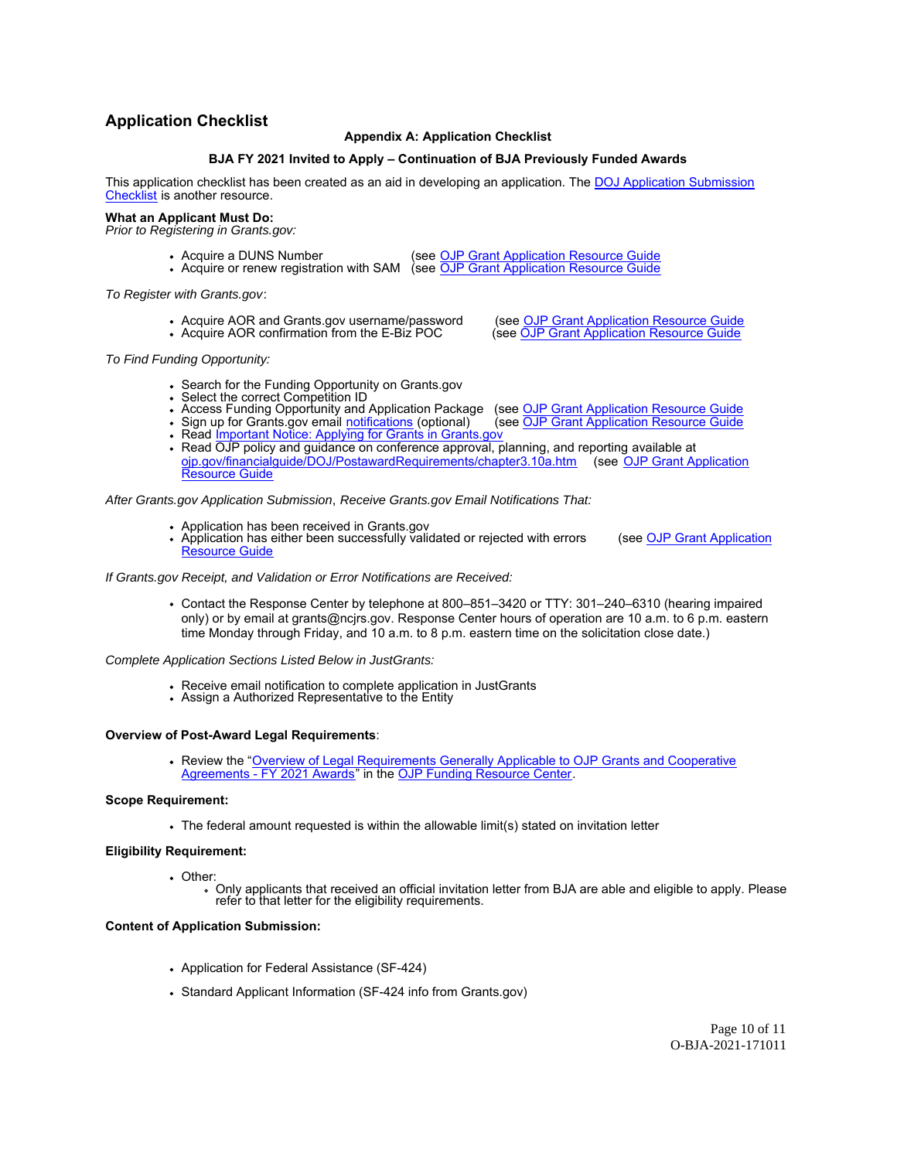# <span id="page-9-0"></span>**Application Checklist**

#### **Appendix A: Application Checklist**

#### **BJA FY 2021 Invited to Apply – Continuation of BJA Previously Funded Awards**

This application checklist has been created as an aid in developing an application. The [DOJ Application Submission](https://justicegrants.usdoj.gov/sites/g/files/xyckuh296/files/media/document/appln-submission-checklist.pdf) [Checklist](https://justicegrants.usdoj.gov/sites/g/files/xyckuh296/files/media/document/appln-submission-checklist.pdf) is another resource.

#### **What an Applicant Must Do:**

Prior to Registering in [Grants.gov:](https://Grants.gov)

- Acquire a DUNS Number (see <u>[OJP Grant Application Resource Guide](https://ojp.gov/funding/Apply/Resources/Grant-App-Resource-Guide.htm)</u>
- Acquire or renew registration with SAM (see <u>[OJP Grant Application Resource Guide](https://ojp.gov/funding/Apply/Resources/Grant-App-Resource-Guide.htm)</u>

To Register with [Grants.gov](https://Grants.gov):

Acquire AOR and Grants.gov username/password • Acquire AOR confirmation from the E-Biz POC

(see [OJP Grant Application Resource Guide](https://ojp.gov/funding/Apply/Resources/Grant-App-Resource-Guide.htm) (see [OJP Grant Application Resource Guide](https://ojp.gov/funding/Apply/Resources/Grant-App-Resource-Guide.htm)

To Find Funding Opportunity:

- Search for the Funding Opportunity on Grants.gov
- Select the correct Competition ID
- (see OJP Grant Application Resource Guide • Access Funding Opportunity and Application Package
- (see OJP Grant Application Resource Guide Sign up for Grants.gov email <u>notifications</u> (optional) (see <u>[OJP Grant Application Resource Guide](https://ojp.gov/funding/Apply/Resources/Grant-App-Resource-Guide.htm)</u>
- Read <u>[Important Notice: Applying for Grants in Grants.gov](https://ojp.gov/funding/Apply/Grants-govInfo.htm)</u>
- [Resource Guide](https://ojp.gov/funding/Apply/Resources/Grant-App-Resource-Guide.htm) Read OJP policy and guidance on conference approval, planning, and reporting available at [ojp.gov/financialguide/DOJ/PostawardRequirements/chapter3.10a.htm](https://ojp.gov/financialguide/DOJ/PostawardRequirements/chapter3.10a.htm) (see [OJP Grant Application](https://ojp.gov/funding/Apply/Resources/Grant-App-Resource-Guide.htm)

After [Grants.gov](https://Grants.gov) Application Submission, Receive [Grants.gov](https://Grants.gov) Email Notifications That:

- Application has been received in [Grants.gov](https://Grants.gov)
- [Resource Guide](https://ojp.gov/funding/Apply/Resources/Grant-App-Resource-Guide.htm) Application has either been successfully validated or rejected with errors (see [OJP Grant Application](https://ojp.gov/funding/Apply/Resources/Grant-App-Resource-Guide.htm)

If [Grants.gov](https://Grants.gov) Receipt, and Validation or Error Notifications are Received:

Contact the Response Center by telephone at 800–851–3420 or TTY: 301–240–6310 (hearing impaired only) or by email at [grants@ncjrs.gov.](mailto:grants@ncjrs.gov) Response Center hours of operation are 10 a.m. to 6 p.m. eastern time Monday through Friday, and 10 a.m. to 8 p.m. eastern time on the solicitation close date.)

Complete Application Sections Listed Below in JustGrants:

- Receive email notification to complete application in JustGrants
- Assign a Authorized Representative to the Entity

### **Overview of Post-Award Legal Requirements**:

Review the "[Overview of Legal Requirements Generally Applicable to OJP Grants and Cooperative](https://www.ojp.gov/funding/explore/legal-overview-fy-2021-awards) [Agreements - FY 2021 Awards"](https://www.ojp.gov/funding/explore/legal-overview-fy-2021-awards) in the [OJP Funding Resource Center.](https://www.ojp.gov/funding/index.htm)

#### **Scope Requirement:**

The federal amount requested is within the allowable limit(s) stated on invitation letter

#### **Eligibility Requirement:**

- Other:
	- Only applicants that received an official invitation letter from BJA are able and eligible to apply. Please refer to that letter for the eligibility requirements.

#### **Content of Application Submission:**

- Application for Federal Assistance (SF-424)
- Standard Applicant Information (SF-424 info from [Grants.gov](https://Grants.gov))